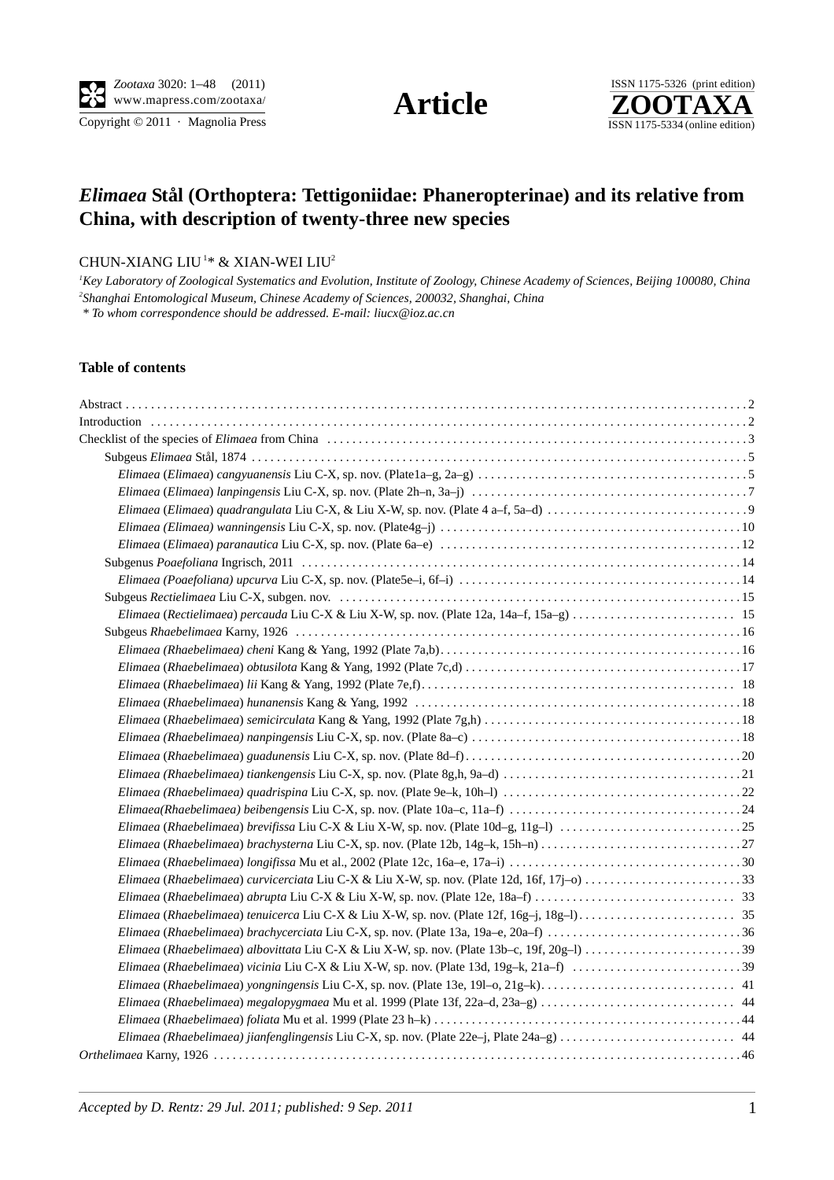$\overline{\text{Copyright} \odot 2011}$  · Magnolia Press

**Article** 



# *Elimaea* **Stål (Orthoptera: Tettigoniidae: Phaneropterinae) and its relative from China, with description of twenty-three new species**

## CHUN-XIANG LIU<sup>1\*</sup> & XIAN-WEI LIU<sup>2</sup>

*1 Key Laboratory of Zoological Systematics and Evolution, Institute of Zoology, Chinese Academy of Sciences, Beijing 100080, China 2 Shanghai Entomological Museum, Chinese Academy of Sciences, 200032, Shanghai, China*

 *[\\* To whom correspondence should be addressed. E-mail: liucx@ioz.ac.cn](mailto:lkang@ioz.ac.cn)*

#### **Table of contents**